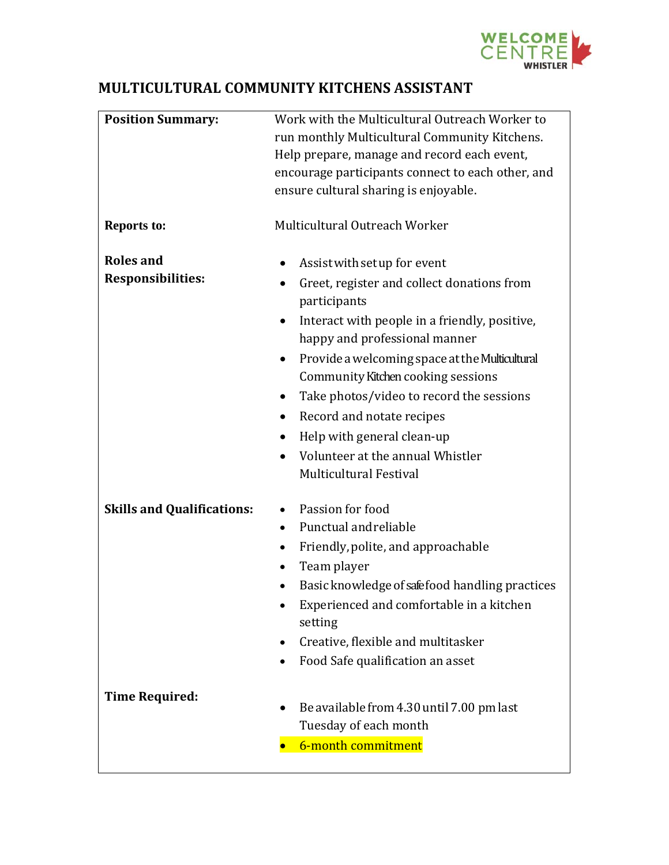

## **MULTICULTURAL COMMUNITY KITCHENS ASSISTANT**

| <b>Position Summary:</b>          | Work with the Multicultural Outreach Worker to                                       |  |
|-----------------------------------|--------------------------------------------------------------------------------------|--|
|                                   | run monthly Multicultural Community Kitchens.                                        |  |
|                                   | Help prepare, manage and record each event,                                          |  |
|                                   | encourage participants connect to each other, and                                    |  |
|                                   | ensure cultural sharing is enjoyable.                                                |  |
|                                   |                                                                                      |  |
| <b>Reports to:</b>                | Multicultural Outreach Worker                                                        |  |
| <b>Roles and</b>                  | Assist with set up for event<br>$\bullet$                                            |  |
| <b>Responsibilities:</b>          | Greet, register and collect donations from<br>participants                           |  |
|                                   | Interact with people in a friendly, positive,<br>happy and professional manner       |  |
|                                   | Provide a welcoming space at the Multicultural<br>Community Kitchen cooking sessions |  |
|                                   | Take photos/video to record the sessions<br>$\bullet$                                |  |
|                                   | Record and notate recipes<br>$\bullet$                                               |  |
|                                   | Help with general clean-up<br>$\bullet$                                              |  |
|                                   | Volunteer at the annual Whistler                                                     |  |
|                                   | <b>Multicultural Festival</b>                                                        |  |
|                                   |                                                                                      |  |
| <b>Skills and Qualifications:</b> | Passion for food                                                                     |  |
|                                   | Punctual and reliable<br>$\bullet$                                                   |  |
|                                   | Friendly, polite, and approachable<br>$\bullet$                                      |  |
|                                   | Team player<br>٠                                                                     |  |
|                                   | Basic knowledge of safefood handling practices<br>٠                                  |  |
|                                   | Experienced and comfortable in a kitchen<br>٠                                        |  |
|                                   | setting                                                                              |  |
|                                   | Creative, flexible and multitasker                                                   |  |
|                                   | Food Safe qualification an asset                                                     |  |
|                                   |                                                                                      |  |
| <b>Time Required:</b>             |                                                                                      |  |
|                                   | Be available from 4.30 until 7.00 pm last                                            |  |
|                                   | Tuesday of each month                                                                |  |
|                                   | 6-month commitment                                                                   |  |
|                                   |                                                                                      |  |